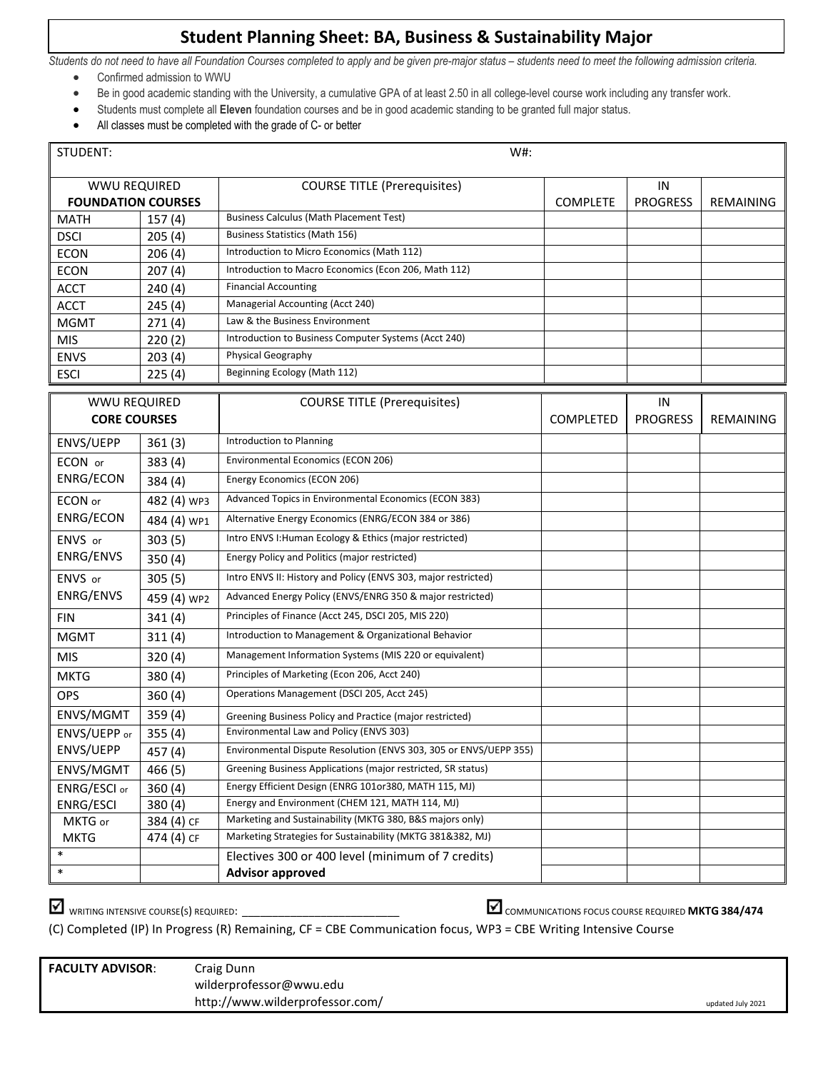## **Student Planning Sheet: BA, Business & Sustainability Major**

*Students do not need to have all Foundation Courses completed to apply and be given pre-major status – students need to meet the following admission criteria.*

- Confirmed admission to WWU
- Be in good academic standing with the University, a cumulative GPA of at least 2.50 in all college-level course work including any transfer work.
- Students must complete all **Eleven** foundation courses and be in good academic standing to be granted full major status.
- All classes must be completed with the grade of C- or better

| STUDENT:                  |             | W#:                                                               |                 |                 |                  |  |  |  |  |
|---------------------------|-------------|-------------------------------------------------------------------|-----------------|-----------------|------------------|--|--|--|--|
| <b>WWU REQUIRED</b>       |             | <b>COURSE TITLE (Prerequisites)</b>                               |                 | IN              |                  |  |  |  |  |
| <b>FOUNDATION COURSES</b> |             |                                                                   | <b>COMPLETE</b> | <b>PROGRESS</b> | REMAINING        |  |  |  |  |
| <b>MATH</b>               | 157(4)      | <b>Business Calculus (Math Placement Test)</b>                    |                 |                 |                  |  |  |  |  |
| <b>DSCI</b>               | 205(4)      | <b>Business Statistics (Math 156)</b>                             |                 |                 |                  |  |  |  |  |
| <b>ECON</b>               | 206(4)      | Introduction to Micro Economics (Math 112)                        |                 |                 |                  |  |  |  |  |
| <b>ECON</b>               | 207(4)      | Introduction to Macro Economics (Econ 206, Math 112)              |                 |                 |                  |  |  |  |  |
| <b>ACCT</b>               | 240(4)      | <b>Financial Accounting</b>                                       |                 |                 |                  |  |  |  |  |
| <b>ACCT</b>               | 245(4)      | Managerial Accounting (Acct 240)                                  |                 |                 |                  |  |  |  |  |
| <b>MGMT</b>               | 271(4)      | Law & the Business Environment                                    |                 |                 |                  |  |  |  |  |
| <b>MIS</b>                | 220(2)      | Introduction to Business Computer Systems (Acct 240)              |                 |                 |                  |  |  |  |  |
| <b>ENVS</b>               | 203(4)      | Physical Geography                                                |                 |                 |                  |  |  |  |  |
| <b>ESCI</b>               | 225(4)      | Beginning Ecology (Math 112)                                      |                 |                 |                  |  |  |  |  |
| <b>WWU REQUIRED</b>       |             | <b>COURSE TITLE (Prerequisites)</b>                               |                 | IN              |                  |  |  |  |  |
| <b>CORE COURSES</b>       |             |                                                                   | COMPLETED       | <b>PROGRESS</b> | <b>REMAINING</b> |  |  |  |  |
|                           |             |                                                                   |                 |                 |                  |  |  |  |  |
| ENVS/UEPP                 | 361(3)      | Introduction to Planning                                          |                 |                 |                  |  |  |  |  |
| ECON or                   | 383(4)      | Environmental Economics (ECON 206)                                |                 |                 |                  |  |  |  |  |
| ENRG/ECON                 | 384(4)      | Energy Economics (ECON 206)                                       |                 |                 |                  |  |  |  |  |
| ECON or                   | 482 (4) WP3 | Advanced Topics in Environmental Economics (ECON 383)             |                 |                 |                  |  |  |  |  |
| ENRG/ECON                 | 484 (4) WP1 | Alternative Energy Economics (ENRG/ECON 384 or 386)               |                 |                 |                  |  |  |  |  |
| ENVS or                   | 303(5)      | Intro ENVS I: Human Ecology & Ethics (major restricted)           |                 |                 |                  |  |  |  |  |
| ENRG/ENVS                 | 350(4)      | Energy Policy and Politics (major restricted)                     |                 |                 |                  |  |  |  |  |
| ENVS or                   | 305(5)      | Intro ENVS II: History and Policy (ENVS 303, major restricted)    |                 |                 |                  |  |  |  |  |
| ENRG/ENVS                 | 459 (4) WP2 | Advanced Energy Policy (ENVS/ENRG 350 & major restricted)         |                 |                 |                  |  |  |  |  |
| <b>FIN</b>                | 341(4)      | Principles of Finance (Acct 245, DSCI 205, MIS 220)               |                 |                 |                  |  |  |  |  |
| <b>MGMT</b>               | 311(4)      | Introduction to Management & Organizational Behavior              |                 |                 |                  |  |  |  |  |
| <b>MIS</b>                | 320(4)      | Management Information Systems (MIS 220 or equivalent)            |                 |                 |                  |  |  |  |  |
| <b>MKTG</b>               | 380 (4)     | Principles of Marketing (Econ 206, Acct 240)                      |                 |                 |                  |  |  |  |  |
| <b>OPS</b>                | 360(4)      | Operations Management (DSCI 205, Acct 245)                        |                 |                 |                  |  |  |  |  |
| ENVS/MGMT                 | 359(4)      | Greening Business Policy and Practice (major restricted)          |                 |                 |                  |  |  |  |  |
| ENVS/UEPP or              | 355(4)      | Environmental Law and Policy (ENVS 303)                           |                 |                 |                  |  |  |  |  |
| ENVS/UEPP                 | 457 (4)     | Environmental Dispute Resolution (ENVS 303, 305 or ENVS/UEPP 355) |                 |                 |                  |  |  |  |  |
| ENVS/MGMT                 | 466(5)      | Greening Business Applications (major restricted, SR status)      |                 |                 |                  |  |  |  |  |
| ENRG/ESCI or              | 360(4)      | Energy Efficient Design (ENRG 101or380, MATH 115, MJ)             |                 |                 |                  |  |  |  |  |
| ENRG/ESCI                 | 380(4)      | Energy and Environment (CHEM 121, MATH 114, MJ)                   |                 |                 |                  |  |  |  |  |
| MKTG or                   | 384 (4) CF  | Marketing and Sustainability (MKTG 380, B&S majors only)          |                 |                 |                  |  |  |  |  |
| <b>MKTG</b>               | 474 (4) CF  | Marketing Strategies for Sustainability (MKTG 381&382, MJ)        |                 |                 |                  |  |  |  |  |
| $\ast$                    |             | Electives 300 or 400 level (minimum of 7 credits)                 |                 |                 |                  |  |  |  |  |
| $\ast$                    |             | <b>Advisor approved</b>                                           |                 |                 |                  |  |  |  |  |

WRITING INTENSIVE COURSE(S) REQUIRED: \_\_\_\_\_\_\_\_\_\_\_\_\_\_\_\_\_\_\_\_\_\_\_\_\_\_ COMMUNICATIONS FOCUS COURSE REQUIRED **MKTG 384/474**

(C) Completed (IP) In Progress (R) Remaining, CF = CBE Communication focus, WP3 = CBE Writing Intensive Course

| <b>FACULTY ADVISOR:</b> | Craig Dunn<br>wilderprofessor@wwu.edu |                   |
|-------------------------|---------------------------------------|-------------------|
|                         | http://www.wilderprofessor.com/       | updated July 2021 |